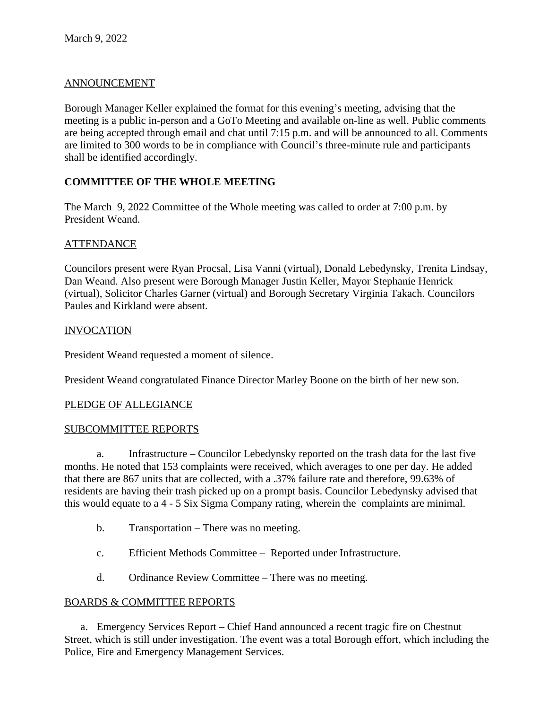## ANNOUNCEMENT

Borough Manager Keller explained the format for this evening's meeting, advising that the meeting is a public in-person and a GoTo Meeting and available on-line as well. Public comments are being accepted through email and chat until 7:15 p.m. and will be announced to all. Comments are limited to 300 words to be in compliance with Council's three-minute rule and participants shall be identified accordingly.

# **COMMITTEE OF THE WHOLE MEETING**

The March 9, 2022 Committee of the Whole meeting was called to order at 7:00 p.m. by President Weand.

## **ATTENDANCE**

Councilors present were Ryan Procsal, Lisa Vanni (virtual), Donald Lebedynsky, Trenita Lindsay, Dan Weand. Also present were Borough Manager Justin Keller, Mayor Stephanie Henrick (virtual), Solicitor Charles Garner (virtual) and Borough Secretary Virginia Takach. Councilors Paules and Kirkland were absent.

### INVOCATION

President Weand requested a moment of silence.

President Weand congratulated Finance Director Marley Boone on the birth of her new son.

#### PLEDGE OF ALLEGIANCE

#### SUBCOMMITTEE REPORTS

a. Infrastructure – Councilor Lebedynsky reported on the trash data for the last five months. He noted that 153 complaints were received, which averages to one per day. He added that there are 867 units that are collected, with a .37% failure rate and therefore, 99.63% of residents are having their trash picked up on a prompt basis. Councilor Lebedynsky advised that this would equate to a 4 - 5 Six Sigma Company rating, wherein the complaints are minimal.

- b. Transportation There was no meeting.
- c. Efficient Methods Committee Reported under Infrastructure.
- d. Ordinance Review Committee There was no meeting.

#### BOARDS & COMMITTEE REPORTS

a. Emergency Services Report – Chief Hand announced a recent tragic fire on Chestnut Street, which is still under investigation. The event was a total Borough effort, which including the Police, Fire and Emergency Management Services.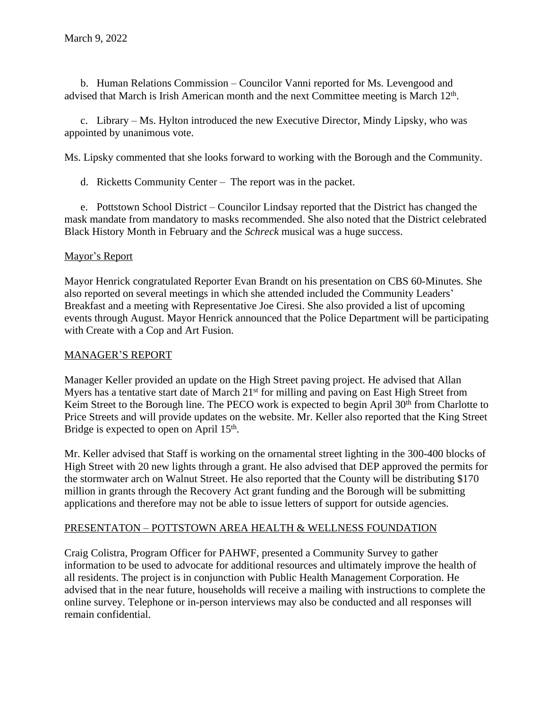b. Human Relations Commission – Councilor Vanni reported for Ms. Levengood and advised that March is Irish American month and the next Committee meeting is March 12<sup>th</sup>.

c. Library – Ms. Hylton introduced the new Executive Director, Mindy Lipsky, who was appointed by unanimous vote.

Ms. Lipsky commented that she looks forward to working with the Borough and the Community.

d. Ricketts Community Center – The report was in the packet.

e. Pottstown School District – Councilor Lindsay reported that the District has changed the mask mandate from mandatory to masks recommended. She also noted that the District celebrated Black History Month in February and the *Schreck* musical was a huge success.

### Mayor's Report

Mayor Henrick congratulated Reporter Evan Brandt on his presentation on CBS 60-Minutes. She also reported on several meetings in which she attended included the Community Leaders' Breakfast and a meeting with Representative Joe Ciresi. She also provided a list of upcoming events through August. Mayor Henrick announced that the Police Department will be participating with Create with a Cop and Art Fusion.

### MANAGER'S REPORT

Manager Keller provided an update on the High Street paving project. He advised that Allan Myers has a tentative start date of March 21<sup>st</sup> for milling and paving on East High Street from Keim Street to the Borough line. The PECO work is expected to begin April 30<sup>th</sup> from Charlotte to Price Streets and will provide updates on the website. Mr. Keller also reported that the King Street Bridge is expected to open on April 15<sup>th</sup>.

Mr. Keller advised that Staff is working on the ornamental street lighting in the 300-400 blocks of High Street with 20 new lights through a grant. He also advised that DEP approved the permits for the stormwater arch on Walnut Street. He also reported that the County will be distributing \$170 million in grants through the Recovery Act grant funding and the Borough will be submitting applications and therefore may not be able to issue letters of support for outside agencies.

#### PRESENTATON – POTTSTOWN AREA HEALTH & WELLNESS FOUNDATION

Craig Colistra, Program Officer for PAHWF, presented a Community Survey to gather information to be used to advocate for additional resources and ultimately improve the health of all residents. The project is in conjunction with Public Health Management Corporation. He advised that in the near future, households will receive a mailing with instructions to complete the online survey. Telephone or in-person interviews may also be conducted and all responses will remain confidential.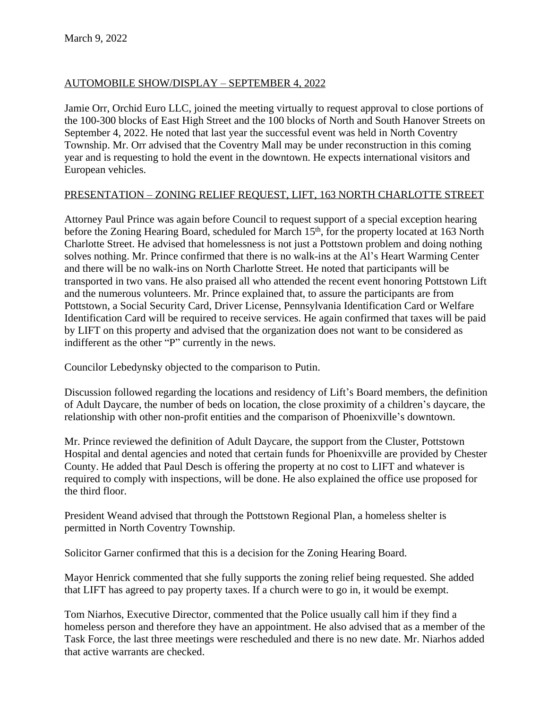# AUTOMOBILE SHOW/DISPLAY – SEPTEMBER 4, 2022

Jamie Orr, Orchid Euro LLC, joined the meeting virtually to request approval to close portions of the 100-300 blocks of East High Street and the 100 blocks of North and South Hanover Streets on September 4, 2022. He noted that last year the successful event was held in North Coventry Township. Mr. Orr advised that the Coventry Mall may be under reconstruction in this coming year and is requesting to hold the event in the downtown. He expects international visitors and European vehicles.

## PRESENTATION – ZONING RELIEF REQUEST, LIFT, 163 NORTH CHARLOTTE STREET

Attorney Paul Prince was again before Council to request support of a special exception hearing before the Zoning Hearing Board, scheduled for March 15<sup>th</sup>, for the property located at 163 North Charlotte Street. He advised that homelessness is not just a Pottstown problem and doing nothing solves nothing. Mr. Prince confirmed that there is no walk-ins at the Al's Heart Warming Center and there will be no walk-ins on North Charlotte Street. He noted that participants will be transported in two vans. He also praised all who attended the recent event honoring Pottstown Lift and the numerous volunteers. Mr. Prince explained that, to assure the participants are from Pottstown, a Social Security Card, Driver License, Pennsylvania Identification Card or Welfare Identification Card will be required to receive services. He again confirmed that taxes will be paid by LIFT on this property and advised that the organization does not want to be considered as indifferent as the other "P" currently in the news.

Councilor Lebedynsky objected to the comparison to Putin.

Discussion followed regarding the locations and residency of Lift's Board members, the definition of Adult Daycare, the number of beds on location, the close proximity of a children's daycare, the relationship with other non-profit entities and the comparison of Phoenixville's downtown.

Mr. Prince reviewed the definition of Adult Daycare, the support from the Cluster, Pottstown Hospital and dental agencies and noted that certain funds for Phoenixville are provided by Chester County. He added that Paul Desch is offering the property at no cost to LIFT and whatever is required to comply with inspections, will be done. He also explained the office use proposed for the third floor.

President Weand advised that through the Pottstown Regional Plan, a homeless shelter is permitted in North Coventry Township.

Solicitor Garner confirmed that this is a decision for the Zoning Hearing Board.

Mayor Henrick commented that she fully supports the zoning relief being requested. She added that LIFT has agreed to pay property taxes. If a church were to go in, it would be exempt.

Tom Niarhos, Executive Director, commented that the Police usually call him if they find a homeless person and therefore they have an appointment. He also advised that as a member of the Task Force, the last three meetings were rescheduled and there is no new date. Mr. Niarhos added that active warrants are checked.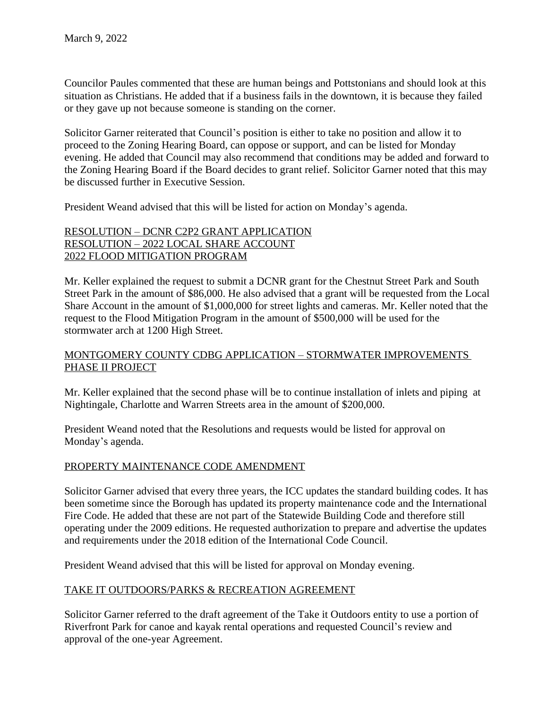Councilor Paules commented that these are human beings and Pottstonians and should look at this situation as Christians. He added that if a business fails in the downtown, it is because they failed or they gave up not because someone is standing on the corner.

Solicitor Garner reiterated that Council's position is either to take no position and allow it to proceed to the Zoning Hearing Board, can oppose or support, and can be listed for Monday evening. He added that Council may also recommend that conditions may be added and forward to the Zoning Hearing Board if the Board decides to grant relief. Solicitor Garner noted that this may be discussed further in Executive Session.

President Weand advised that this will be listed for action on Monday's agenda.

### RESOLUTION – DCNR C2P2 GRANT APPLICATION RESOLUTION – 2022 LOCAL SHARE ACCOUNT 2022 FLOOD MITIGATION PROGRAM

Mr. Keller explained the request to submit a DCNR grant for the Chestnut Street Park and South Street Park in the amount of \$86,000. He also advised that a grant will be requested from the Local Share Account in the amount of \$1,000,000 for street lights and cameras. Mr. Keller noted that the request to the Flood Mitigation Program in the amount of \$500,000 will be used for the stormwater arch at 1200 High Street.

## MONTGOMERY COUNTY CDBG APPLICATION – STORMWATER IMPROVEMENTS PHASE II PROJECT

Mr. Keller explained that the second phase will be to continue installation of inlets and piping at Nightingale, Charlotte and Warren Streets area in the amount of \$200,000.

President Weand noted that the Resolutions and requests would be listed for approval on Monday's agenda.

## PROPERTY MAINTENANCE CODE AMENDMENT

Solicitor Garner advised that every three years, the ICC updates the standard building codes. It has been sometime since the Borough has updated its property maintenance code and the International Fire Code. He added that these are not part of the Statewide Building Code and therefore still operating under the 2009 editions. He requested authorization to prepare and advertise the updates and requirements under the 2018 edition of the International Code Council.

President Weand advised that this will be listed for approval on Monday evening.

## TAKE IT OUTDOORS/PARKS & RECREATION AGREEMENT

Solicitor Garner referred to the draft agreement of the Take it Outdoors entity to use a portion of Riverfront Park for canoe and kayak rental operations and requested Council's review and approval of the one-year Agreement.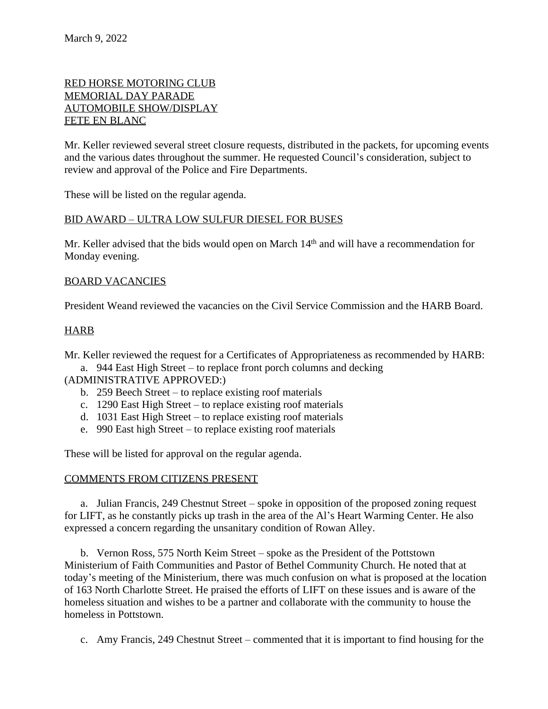## RED HORSE MOTORING CLUB MEMORIAL DAY PARADE AUTOMOBILE SHOW/DISPLAY FETE EN BLANC

Mr. Keller reviewed several street closure requests, distributed in the packets, for upcoming events and the various dates throughout the summer. He requested Council's consideration, subject to review and approval of the Police and Fire Departments.

These will be listed on the regular agenda.

### BID AWARD – ULTRA LOW SULFUR DIESEL FOR BUSES

Mr. Keller advised that the bids would open on March 14<sup>th</sup> and will have a recommendation for Monday evening.

### BOARD VACANCIES

President Weand reviewed the vacancies on the Civil Service Commission and the HARB Board.

### HARB

Mr. Keller reviewed the request for a Certificates of Appropriateness as recommended by HARB:

a. 944 East High Street – to replace front porch columns and decking

(ADMINISTRATIVE APPROVED:)

- b. 259 Beech Street to replace existing roof materials
- c. 1290 East High Street to replace existing roof materials
- d. 1031 East High Street to replace existing roof materials
- e. 990 East high Street to replace existing roof materials

These will be listed for approval on the regular agenda.

#### COMMENTS FROM CITIZENS PRESENT

a. Julian Francis, 249 Chestnut Street – spoke in opposition of the proposed zoning request for LIFT, as he constantly picks up trash in the area of the Al's Heart Warming Center. He also expressed a concern regarding the unsanitary condition of Rowan Alley.

b. Vernon Ross, 575 North Keim Street – spoke as the President of the Pottstown Ministerium of Faith Communities and Pastor of Bethel Community Church. He noted that at today's meeting of the Ministerium, there was much confusion on what is proposed at the location of 163 North Charlotte Street. He praised the efforts of LIFT on these issues and is aware of the homeless situation and wishes to be a partner and collaborate with the community to house the homeless in Pottstown.

c. Amy Francis, 249 Chestnut Street – commented that it is important to find housing for the